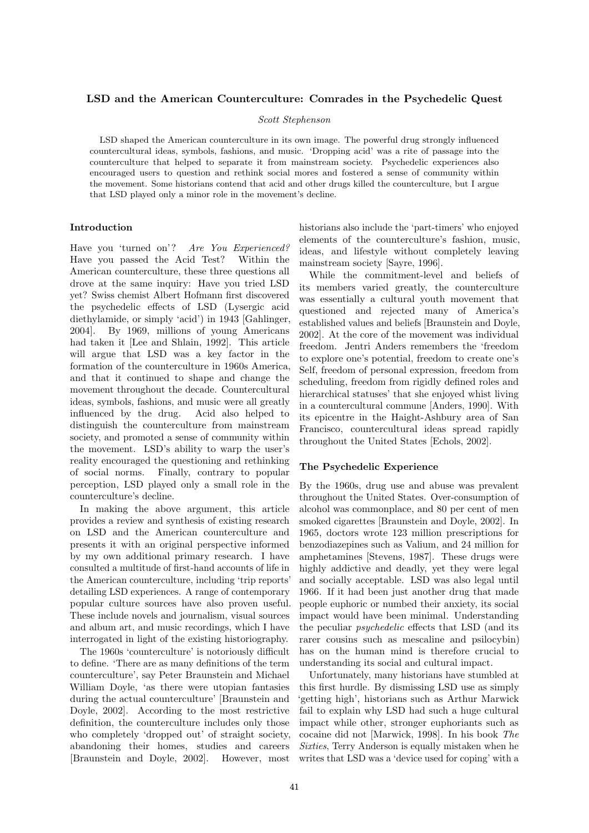# LSD and the American Counterculture: Comrades in the Psychedelic Quest

#### Scott Stephenson

LSD shaped the American counterculture in its own image. The powerful drug strongly influenced countercultural ideas, symbols, fashions, and music. 'Dropping acid' was a rite of passage into the counterculture that helped to separate it from mainstream society. Psychedelic experiences also encouraged users to question and rethink social mores and fostered a sense of community within the movement. Some historians contend that acid and other drugs killed the counterculture, but I argue that LSD played only a minor role in the movement's decline.

## Introduction

Have you 'turned on'? Are You Experienced? Have you passed the Acid Test? Within the American counterculture, these three questions all drove at the same inquiry: Have you tried LSD yet? Swiss chemist Albert Hofmann first discovered the psychedelic effects of LSD (Lysergic acid diethylamide, or simply 'acid') in 1943 [Gahlinger, 2004]. By 1969, millions of young Americans had taken it [Lee and Shlain, 1992]. This article will argue that LSD was a key factor in the formation of the counterculture in 1960s America, and that it continued to shape and change the movement throughout the decade. Countercultural ideas, symbols, fashions, and music were all greatly influenced by the drug. Acid also helped to distinguish the counterculture from mainstream society, and promoted a sense of community within the movement. LSD's ability to warp the user's reality encouraged the questioning and rethinking of social norms. Finally, contrary to popular perception, LSD played only a small role in the counterculture's decline.

In making the above argument, this article provides a review and synthesis of existing research on LSD and the American counterculture and presents it with an original perspective informed by my own additional primary research. I have consulted a multitude of first-hand accounts of life in the American counterculture, including 'trip reports' detailing LSD experiences. A range of contemporary popular culture sources have also proven useful. These include novels and journalism, visual sources and album art, and music recordings, which I have interrogated in light of the existing historiography.

The 1960s 'counterculture' is notoriously difficult to define. 'There are as many definitions of the term counterculture', say Peter Braunstein and Michael William Doyle, 'as there were utopian fantasies during the actual counterculture' [Braunstein and Doyle, 2002]. According to the most restrictive definition, the counterculture includes only those who completely 'dropped out' of straight society, abandoning their homes, studies and careers [Braunstein and Doyle, 2002]. However, most historians also include the 'part-timers' who enjoyed elements of the counterculture's fashion, music, ideas, and lifestyle without completely leaving mainstream society [Sayre, 1996].

While the commitment-level and beliefs of its members varied greatly, the counterculture was essentially a cultural youth movement that questioned and rejected many of America's established values and beliefs [Braunstein and Doyle, 2002]. At the core of the movement was individual freedom. Jentri Anders remembers the 'freedom to explore one's potential, freedom to create one's Self, freedom of personal expression, freedom from scheduling, freedom from rigidly defined roles and hierarchical statuses' that she enjoyed whist living in a countercultural commune [Anders, 1990]. With its epicentre in the Haight-Ashbury area of San Francisco, countercultural ideas spread rapidly throughout the United States [Echols, 2002].

## The Psychedelic Experience

By the 1960s, drug use and abuse was prevalent throughout the United States. Over-consumption of alcohol was commonplace, and 80 per cent of men smoked cigarettes [Braunstein and Doyle, 2002]. In 1965, doctors wrote 123 million prescriptions for benzodiazepines such as Valium, and 24 million for amphetamines [Stevens, 1987]. These drugs were highly addictive and deadly, yet they were legal and socially acceptable. LSD was also legal until 1966. If it had been just another drug that made people euphoric or numbed their anxiety, its social impact would have been minimal. Understanding the peculiar psychedelic effects that LSD (and its rarer cousins such as mescaline and psilocybin) has on the human mind is therefore crucial to understanding its social and cultural impact.

Unfortunately, many historians have stumbled at this first hurdle. By dismissing LSD use as simply 'getting high', historians such as Arthur Marwick fail to explain why LSD had such a huge cultural impact while other, stronger euphoriants such as cocaine did not [Marwick, 1998]. In his book The Sixties, Terry Anderson is equally mistaken when he writes that LSD was a 'device used for coping' with a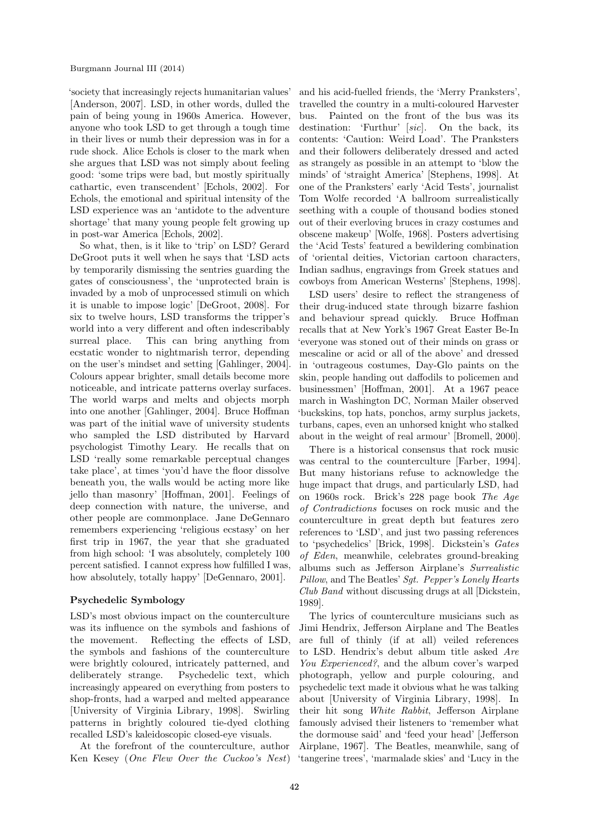'society that increasingly rejects humanitarian values' [Anderson, 2007]. LSD, in other words, dulled the pain of being young in 1960s America. However, anyone who took LSD to get through a tough time in their lives or numb their depression was in for a rude shock. Alice Echols is closer to the mark when she argues that LSD was not simply about feeling good: 'some trips were bad, but mostly spiritually cathartic, even transcendent' [Echols, 2002]. For Echols, the emotional and spiritual intensity of the LSD experience was an 'antidote to the adventure shortage' that many young people felt growing up in post-war America [Echols, 2002].

So what, then, is it like to 'trip' on LSD? Gerard DeGroot puts it well when he says that 'LSD acts by temporarily dismissing the sentries guarding the gates of consciousness', the 'unprotected brain is invaded by a mob of unprocessed stimuli on which it is unable to impose logic' [DeGroot, 2008]. For six to twelve hours, LSD transforms the tripper's world into a very different and often indescribably surreal place. This can bring anything from ecstatic wonder to nightmarish terror, depending on the user's mindset and setting [Gahlinger, 2004]. Colours appear brighter, small details become more noticeable, and intricate patterns overlay surfaces. The world warps and melts and objects morph into one another [Gahlinger, 2004]. Bruce Hoffman was part of the initial wave of university students who sampled the LSD distributed by Harvard psychologist Timothy Leary. He recalls that on LSD 'really some remarkable perceptual changes take place', at times 'you'd have the floor dissolve beneath you, the walls would be acting more like jello than masonry' [Hoffman, 2001]. Feelings of deep connection with nature, the universe, and other people are commonplace. Jane DeGennaro remembers experiencing 'religious ecstasy' on her first trip in 1967, the year that she graduated from high school: 'I was absolutely, completely 100 percent satisfied. I cannot express how fulfilled I was, how absolutely, totally happy' [DeGennaro, 2001].

## Psychedelic Symbology

LSD's most obvious impact on the counterculture was its influence on the symbols and fashions of the movement. Reflecting the effects of LSD, the symbols and fashions of the counterculture were brightly coloured, intricately patterned, and deliberately strange. Psychedelic text, which increasingly appeared on everything from posters to shop-fronts, had a warped and melted appearance [University of Virginia Library, 1998]. Swirling patterns in brightly coloured tie-dyed clothing recalled LSD's kaleidoscopic closed-eye visuals.

At the forefront of the counterculture, author

and his acid-fuelled friends, the 'Merry Pranksters', travelled the country in a multi-coloured Harvester bus. Painted on the front of the bus was its destination: 'Furthur' [sic]. On the back, its contents: 'Caution: Weird Load'. The Pranksters and their followers deliberately dressed and acted as strangely as possible in an attempt to 'blow the minds' of 'straight America' [Stephens, 1998]. At one of the Pranksters' early 'Acid Tests', journalist Tom Wolfe recorded 'A ballroom surrealistically seething with a couple of thousand bodies stoned out of their everloving bruces in crazy costumes and obscene makeup' [Wolfe, 1968]. Posters advertising the 'Acid Tests' featured a bewildering combination of 'oriental deities, Victorian cartoon characters, Indian sadhus, engravings from Greek statues and cowboys from American Westerns' [Stephens, 1998].

LSD users' desire to reflect the strangeness of their drug-induced state through bizarre fashion and behaviour spread quickly. Bruce Hoffman recalls that at New York's 1967 Great Easter Be-In 'everyone was stoned out of their minds on grass or mescaline or acid or all of the above' and dressed in 'outrageous costumes, Day-Glo paints on the skin, people handing out daffodils to policemen and businessmen' [Hoffman, 2001]. At a 1967 peace march in Washington DC, Norman Mailer observed 'buckskins, top hats, ponchos, army surplus jackets, turbans, capes, even an unhorsed knight who stalked about in the weight of real armour' [Bromell, 2000].

There is a historical consensus that rock music was central to the counterculture [Farber, 1994]. But many historians refuse to acknowledge the huge impact that drugs, and particularly LSD, had on 1960s rock. Brick's 228 page book The Age of Contradictions focuses on rock music and the counterculture in great depth but features zero references to 'LSD', and just two passing references to 'psychedelics' [Brick, 1998]. Dickstein's Gates of Eden, meanwhile, celebrates ground-breaking albums such as Jefferson Airplane's Surrealistic Pillow, and The Beatles' Sgt. Pepper's Lonely Hearts Club Band without discussing drugs at all [Dickstein, 1989].

Ken Kesey (*One Flew Over the Cuckoo's Nest*) 'tangerine trees', 'marmalade skies' and 'Lucy in the The lyrics of counterculture musicians such as Jimi Hendrix, Jefferson Airplane and The Beatles are full of thinly (if at all) veiled references to LSD. Hendrix's debut album title asked Are You Experienced?, and the album cover's warped photograph, yellow and purple colouring, and psychedelic text made it obvious what he was talking about [University of Virginia Library, 1998]. In their hit song White Rabbit, Jefferson Airplane famously advised their listeners to 'remember what the dormouse said' and 'feed your head' [Jefferson Airplane, 1967]. The Beatles, meanwhile, sang of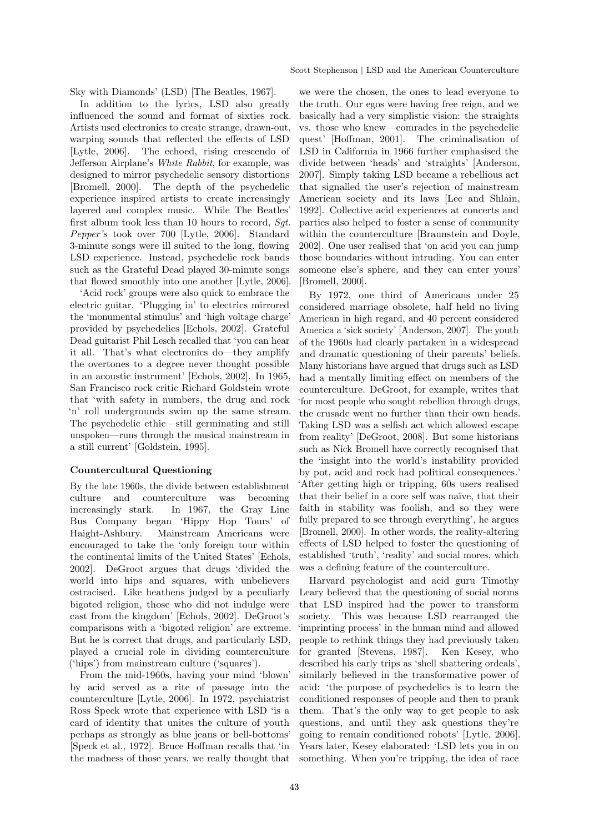Sky with Diamonds' (LSD) [The Beatles, 1967].

In addition to the lyrics, LSD also greatly influenced the sound and format of sixties rock. Artists used electronics to create strange, drawn-out, warping sounds that reflected the effects of LSD [Lytle, 2006]. The echoed, rising crescendo of Jefferson Airplane's White Rabbit, for example, was designed to mirror psychedelic sensory distortions [Bromell, 2000]. The depth of the psychedelic experience inspired artists to create increasingly layered and complex music. While The Beatles' first album took less than 10 hours to record, Sgt. Pepper's took over 700 [Lytle, 2006]. Standard 3-minute songs were ill suited to the long, flowing LSD experience. Instead, psychedelic rock bands such as the Grateful Dead played 30-minute songs that flowed smoothly into one another [Lytle, 2006].

'Acid rock' groups were also quick to embrace the electric guitar. 'Plugging in' to electrics mirrored the 'monumental stimulus' and 'high voltage charge' provided by psychedelics [Echols, 2002]. Grateful Dead guitarist Phil Lesch recalled that 'you can hear it all. That's what electronics do—they amplify the overtones to a degree never thought possible in an acoustic instrument' [Echols, 2002]. In 1965, San Francisco rock critic Richard Goldstein wrote that 'with safety in numbers, the drug and rock 'n' roll undergrounds swim up the same stream. The psychedelic ethic—still germinating and still unspoken—runs through the musical mainstream in a still current' [Goldstein, 1995].

## Countercultural Questioning

By the late 1960s, the divide between establishment culture and counterculture was becoming increasingly stark. In 1967, the Gray Line Bus Company began 'Hippy Hop Tours' of Haight-Ashbury. Mainstream Americans were encouraged to take the 'only foreign tour within the continental limits of the United States' [Echols, 2002]. DeGroot argues that drugs 'divided the world into hips and squares, with unbelievers ostracised. Like heathens judged by a peculiarly bigoted religion, those who did not indulge were cast from the kingdom' [Echols, 2002]. DeGroot's comparisons with a 'bigoted religion' are extreme. But he is correct that drugs, and particularly LSD, played a crucial role in dividing counterculture ('hips') from mainstream culture ('squares').

From the mid-1960s, having your mind 'blown' by acid served as a rite of passage into the counterculture [Lytle, 2006]. In 1972, psychiatrist Ross Speck wrote that experience with LSD 'is a card of identity that unites the culture of youth perhaps as strongly as blue jeans or bell-bottoms' [Speck et al., 1972]. Bruce Hoffman recalls that 'in the madness of those years, we really thought that we were the chosen, the ones to lead everyone to the truth. Our egos were having free reign, and we basically had a very simplistic vision: the straights vs. those who knew—comrades in the psychedelic quest' [Hoffman, 2001]. The criminalisation of LSD in California in 1966 further emphasised the divide between 'heads' and 'straights' [Anderson, 2007]. Simply taking LSD became a rebellious act that signalled the user's rejection of mainstream American society and its laws [Lee and Shlain, 1992]. Collective acid experiences at concerts and parties also helped to foster a sense of community within the counterculture [Braunstein and Doyle, 2002]. One user realised that 'on acid you can jump those boundaries without intruding. You can enter someone else's sphere, and they can enter yours' [Bromell, 2000].

By 1972, one third of Americans under 25 considered marriage obsolete, half held no living American in high regard, and 40 percent considered America a 'sick society' [Anderson, 2007]. The youth of the 1960s had clearly partaken in a widespread and dramatic questioning of their parents' beliefs. Many historians have argued that drugs such as LSD had a mentally limiting effect on members of the counterculture. DeGroot, for example, writes that 'for most people who sought rebellion through drugs, the crusade went no further than their own heads. Taking LSD was a selfish act which allowed escape from reality' [DeGroot, 2008]. But some historians such as Nick Bromell have correctly recognised that the 'insight into the world's instability provided by pot, acid and rock had political consequences.' 'After getting high or tripping, 60s users realised that their belief in a core self was na¨ıve, that their faith in stability was foolish, and so they were fully prepared to see through everything', he argues [Bromell, 2000]. In other words, the reality-altering effects of LSD helped to foster the questioning of established 'truth', 'reality' and social mores, which was a defining feature of the counterculture.

Harvard psychologist and acid guru Timothy Leary believed that the questioning of social norms that LSD inspired had the power to transform society. This was because LSD rearranged the 'imprinting process' in the human mind and allowed people to rethink things they had previously taken for granted [Stevens, 1987]. Ken Kesey, who described his early trips as 'shell shattering ordeals', similarly believed in the transformative power of acid: 'the purpose of psychedelics is to learn the conditioned responses of people and then to prank them. That's the only way to get people to ask questions, and until they ask questions they're going to remain conditioned robots' [Lytle, 2006]. Years later, Kesey elaborated: 'LSD lets you in on something. When you're tripping, the idea of race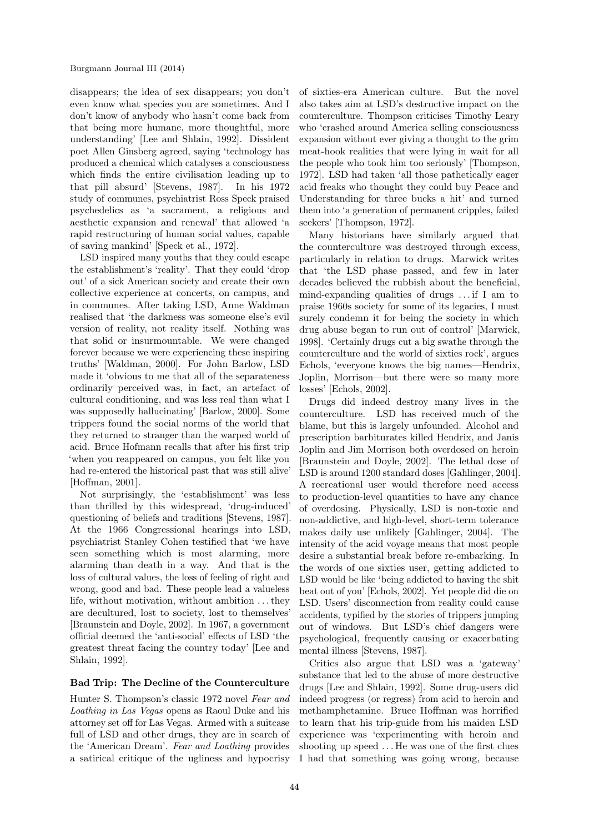disappears; the idea of sex disappears; you don't even know what species you are sometimes. And I don't know of anybody who hasn't come back from that being more humane, more thoughtful, more understanding' [Lee and Shlain, 1992]. Dissident poet Allen Ginsberg agreed, saying 'technology has produced a chemical which catalyses a consciousness which finds the entire civilisation leading up to that pill absurd' [Stevens, 1987]. In his 1972 study of communes, psychiatrist Ross Speck praised psychedelics as 'a sacrament, a religious and aesthetic expansion and renewal' that allowed 'a rapid restructuring of human social values, capable of saving mankind' [Speck et al., 1972].

LSD inspired many youths that they could escape the establishment's 'reality'. That they could 'drop out' of a sick American society and create their own collective experience at concerts, on campus, and in communes. After taking LSD, Anne Waldman realised that 'the darkness was someone else's evil version of reality, not reality itself. Nothing was that solid or insurmountable. We were changed forever because we were experiencing these inspiring truths' [Waldman, 2000]. For John Barlow, LSD made it 'obvious to me that all of the separateness ordinarily perceived was, in fact, an artefact of cultural conditioning, and was less real than what I was supposedly hallucinating' [Barlow, 2000]. Some trippers found the social norms of the world that they returned to stranger than the warped world of acid. Bruce Hofmann recalls that after his first trip 'when you reappeared on campus, you felt like you had re-entered the historical past that was still alive' [Hoffman, 2001].

Not surprisingly, the 'establishment' was less than thrilled by this widespread, 'drug-induced' questioning of beliefs and traditions [Stevens, 1987]. At the 1966 Congressional hearings into LSD, psychiatrist Stanley Cohen testified that 'we have seen something which is most alarming, more alarming than death in a way. And that is the loss of cultural values, the loss of feeling of right and wrong, good and bad. These people lead a valueless life, without motivation, without ambition . . . they are decultured, lost to society, lost to themselves' [Braunstein and Doyle, 2002]. In 1967, a government official deemed the 'anti-social' effects of LSD 'the greatest threat facing the country today' [Lee and Shlain, 1992].

## Bad Trip: The Decline of the Counterculture

Hunter S. Thompson's classic 1972 novel Fear and Loathing in Las Vegas opens as Raoul Duke and his attorney set off for Las Vegas. Armed with a suitcase full of LSD and other drugs, they are in search of the 'American Dream'. Fear and Loathing provides a satirical critique of the ugliness and hypocrisy of sixties-era American culture. But the novel also takes aim at LSD's destructive impact on the counterculture. Thompson criticises Timothy Leary who 'crashed around America selling consciousness expansion without ever giving a thought to the grim meat-hook realities that were lying in wait for all the people who took him too seriously' [Thompson, 1972]. LSD had taken 'all those pathetically eager acid freaks who thought they could buy Peace and Understanding for three bucks a hit' and turned them into 'a generation of permanent cripples, failed seekers' [Thompson, 1972].

Many historians have similarly argued that the counterculture was destroyed through excess, particularly in relation to drugs. Marwick writes that 'the LSD phase passed, and few in later decades believed the rubbish about the beneficial, mind-expanding qualities of drugs . . . if I am to praise 1960s society for some of its legacies, I must surely condemn it for being the society in which drug abuse began to run out of control' [Marwick, 1998]. 'Certainly drugs cut a big swathe through the counterculture and the world of sixties rock', argues Echols, 'everyone knows the big names—Hendrix, Joplin, Morrison—but there were so many more losses' [Echols, 2002].

Drugs did indeed destroy many lives in the counterculture. LSD has received much of the blame, but this is largely unfounded. Alcohol and prescription barbiturates killed Hendrix, and Janis Joplin and Jim Morrison both overdosed on heroin [Braunstein and Doyle, 2002]. The lethal dose of LSD is around 1200 standard doses [Gahlinger, 2004]. A recreational user would therefore need access to production-level quantities to have any chance of overdosing. Physically, LSD is non-toxic and non-addictive, and high-level, short-term tolerance makes daily use unlikely [Gahlinger, 2004]. The intensity of the acid voyage means that most people desire a substantial break before re-embarking. In the words of one sixties user, getting addicted to LSD would be like 'being addicted to having the shit beat out of you' [Echols, 2002]. Yet people did die on LSD. Users' disconnection from reality could cause accidents, typified by the stories of trippers jumping out of windows. But LSD's chief dangers were psychological, frequently causing or exacerbating mental illness [Stevens, 1987].

Critics also argue that LSD was a 'gateway' substance that led to the abuse of more destructive drugs [Lee and Shlain, 1992]. Some drug-users did indeed progress (or regress) from acid to heroin and methamphetamine. Bruce Hoffman was horrified to learn that his trip-guide from his maiden LSD experience was 'experimenting with heroin and shooting up speed . . . He was one of the first clues I had that something was going wrong, because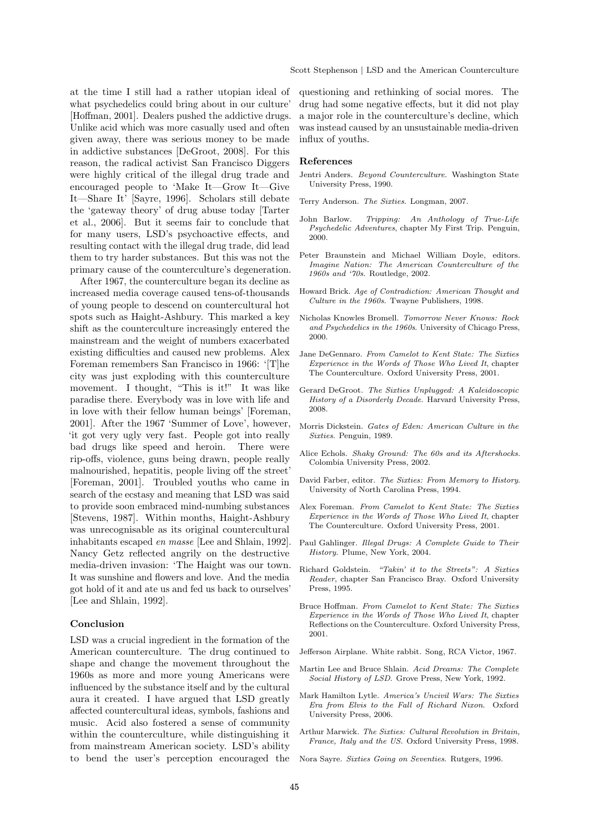at the time I still had a rather utopian ideal of what psychedelics could bring about in our culture' [Hoffman, 2001]. Dealers pushed the addictive drugs. Unlike acid which was more casually used and often given away, there was serious money to be made in addictive substances [DeGroot, 2008]. For this reason, the radical activist San Francisco Diggers were highly critical of the illegal drug trade and encouraged people to 'Make It—Grow It—Give It—Share It' [Sayre, 1996]. Scholars still debate the 'gateway theory' of drug abuse today [Tarter et al., 2006]. But it seems fair to conclude that for many users, LSD's psychoactive effects, and resulting contact with the illegal drug trade, did lead them to try harder substances. But this was not the primary cause of the counterculture's degeneration.

After 1967, the counterculture began its decline as increased media coverage caused tens-of-thousands of young people to descend on countercultural hot spots such as Haight-Ashbury. This marked a key shift as the counterculture increasingly entered the mainstream and the weight of numbers exacerbated existing difficulties and caused new problems. Alex Foreman remembers San Francisco in 1966: '[T]he city was just exploding with this counterculture movement. I thought, "This is it!" It was like paradise there. Everybody was in love with life and in love with their fellow human beings' [Foreman, 2001]. After the 1967 'Summer of Love', however, 'it got very ugly very fast. People got into really bad drugs like speed and heroin. There were rip-offs, violence, guns being drawn, people really malnourished, hepatitis, people living off the street' [Foreman, 2001]. Troubled youths who came in search of the ecstasy and meaning that LSD was said to provide soon embraced mind-numbing substances [Stevens, 1987]. Within months, Haight-Ashbury was unrecognisable as its original countercultural inhabitants escaped en masse [Lee and Shlain, 1992]. Nancy Getz reflected angrily on the destructive media-driven invasion: 'The Haight was our town. It was sunshine and flowers and love. And the media got hold of it and ate us and fed us back to ourselves' [Lee and Shlain, 1992].

#### Conclusion

LSD was a crucial ingredient in the formation of the American counterculture. The drug continued to shape and change the movement throughout the 1960s as more and more young Americans were influenced by the substance itself and by the cultural aura it created. I have argued that LSD greatly affected countercultural ideas, symbols, fashions and music. Acid also fostered a sense of community within the counterculture, while distinguishing it from mainstream American society. LSD's ability to bend the user's perception encouraged the questioning and rethinking of social mores. The drug had some negative effects, but it did not play a major role in the counterculture's decline, which was instead caused by an unsustainable media-driven influx of youths.

#### References

- Jentri Anders. Beyond Counterculture. Washington State University Press, 1990.
- Terry Anderson. The Sixties. Longman, 2007.
- John Barlow. Tripping: An Anthology of True-Life Psychedelic Adventures, chapter My First Trip. Penguin, 2000.
- Peter Braunstein and Michael William Doyle, editors. Imagine Nation: The American Counterculture of the 1960s and '70s. Routledge, 2002.
- Howard Brick. Age of Contradiction: American Thought and Culture in the 1960s. Twayne Publishers, 1998.
- Nicholas Knowles Bromell. Tomorrow Never Knows: Rock and Psychedelics in the 1960s. University of Chicago Press, 2000.
- Jane DeGennaro. From Camelot to Kent State: The Sixties Experience in the Words of Those Who Lived It, chapter The Counterculture. Oxford University Press, 2001.
- Gerard DeGroot. The Sixties Unplugged: A Kaleidoscopic History of a Disorderly Decade. Harvard University Press, 2008.
- Morris Dickstein. Gates of Eden: American Culture in the Sixties. Penguin, 1989.
- Alice Echols. Shaky Ground: The 60s and its Aftershocks. Colombia University Press, 2002.
- David Farber, editor. The Sixties: From Memory to History. University of North Carolina Press, 1994.
- Alex Foreman. From Camelot to Kent State: The Sixties Experience in the Words of Those Who Lived It, chapter The Counterculture. Oxford University Press, 2001.
- Paul Gahlinger. Illegal Drugs: A Complete Guide to Their History. Plume, New York, 2004.
- Richard Goldstein. "Takin' it to the Streets": A Sixties Reader, chapter San Francisco Bray. Oxford University Press, 1995.
- Bruce Hoffman. From Camelot to Kent State: The Sixties Experience in the Words of Those Who Lived It, chapter Reflections on the Counterculture. Oxford University Press, 2001.
- Jefferson Airplane. White rabbit. Song, RCA Victor, 1967.
- Martin Lee and Bruce Shlain. Acid Dreams: The Complete Social History of LSD. Grove Press, New York, 1992.
- Mark Hamilton Lytle. America's Uncivil Wars: The Sixties Era from Elvis to the Fall of Richard Nixon. Oxford University Press, 2006.
- Arthur Marwick. The Sixties: Cultural Revolution in Britain, France, Italy and the US. Oxford University Press, 1998.
- Nora Sayre. Sixties Going on Seventies. Rutgers, 1996.